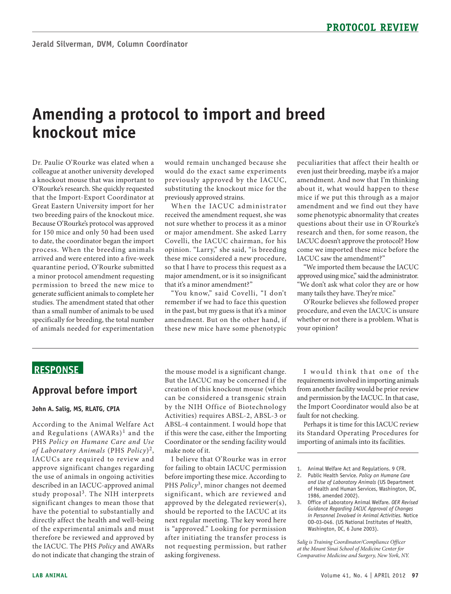# **Amending a protocol to import and breed knockout mice**

 colleague at another university developed a minor protocol amendment requesting generate sufficient animals to complete her Dr. Paulie O'Rourke was elated when a a knockout mouse that was important to O'Rourke's research. She quickly requested that the Import-Export Coordinator at Great Eastern University import for her two breeding pairs of the knockout mice. Because O'Rourke's protocol was approved for 150 mice and only 50 had been used to date, the coordinator began the import process. When the breeding animals arrived and were entered into a five-week quarantine period, O'Rourke submitted permission to breed the new mice to studies. The amendment stated that other than a small number of animals to be used specifically for breeding, the total number of animals needed for experimentation

would remain unchanged because she would do the exact same experiments previously approved by the IACUC, substituting the knockout mice for the previously approved strains.

When the IACUC administrator received the amendment request, she was not sure whether to process it as a minor or major amendment. She asked Larry Covelli, the IACUC chairman, for his opinion. "Larry," she said, "is breeding these mice considered a new procedure, so that I have to process this request as a major amendment, or is it so insignificant that it's a minor amendment?"

 remember if we had to face this question "You know," said Covelli, "I don't in the past, but my guess is that it's a minor amendment. But on the other hand, if these new mice have some phenotypic

 amendment. And now that I'm thinking some phenotypic abnormality that creates IACUC doesn't approve the protocol? How peculiarities that affect their health or even just their breeding, maybe it's a major about it, what would happen to these mice if we put this through as a major amendment and we find out they have questions about their use in O'Rourke's research and then, for some reason, the come we imported these mice before the IACUC saw the amendment?"

 approved using mice," said the administrator. "We imported them because the IACUC "We don't ask what color they are or how many tails they have. They're mice."

O'Rourke believes she followed proper procedure, and even the IACUC is unsure whether or not there is a problem. What is your opinion?

## **ReSponSe**

### **Approval before import**

#### **John A. Salig, MS, RLATG, CpIA**

 approve significant changes regarding described in an IACUC-approved animal study proposal3. The NIH interprets According to the Animal Welfare Act and Regulations  $(AWARS)^1$  and the PHS *Policy on Humane Care and Use of Laboratory Animals* (PHS *Policy*)2, IACUCs are required to review and the use of animals in ongoing activities significant changes to mean those that have the potential to substantially and directly affect the health and well-being of the experimental animals and must therefore be reviewed and approved by the IACUC. The PHS *Policy* and AWARs do not indicate that changing the strain of

the mouse model is a significant change. But the IACUC may be concerned if the creation of this knockout mouse (which can be considered a transgenic strain by the NIH Office of Biotechnology Activities) requires ABSL-2, ABSL-3 or ABSL-4 containment. I would hope that if this were the case, either the Importing Coordinator or the sending facility would make note of it.

 is "approved." Looking for permission I believe that O'Rourke was in error for failing to obtain IACUC permission before importing these mice. According to PHS *Policy*3, minor changes not deemed significant, which are reviewed and approved by the delegated reviewer(s), should be reported to the IACUC at its next regular meeting. The key word here after initiating the transfer process is not requesting permission, but rather asking forgiveness.

 requirements involved in importing animals I would think that one of the from another facility would be prior review and permission by the IACUC. In that case, the Import Coordinator would also be at fault for not checking.

Perhaps it is time for this IACUC review its Standard Operating Procedures for importing of animals into its facilities.

- 2. Public Health Service. *Policy on Humane Care and Use of Laboratory Animals* (US Department of Health and Human Services, Washington, DC, 1986, amended 2002).
- 3. Office of Laboratory Animal Welfare. *OER Revised Guidance Regarding IACUC Approval of Changes in Personnel Involved in Animal Activities.* Notice OD-03-046. (US National Institutes of Health, Washington, DC, 6 June 2003).

*Salig is Training Coordinator/Compliance Officer at the Mount Sinai School of Medicine Center for Comparative Medicine and Surgery, New York, NY.* 

<sup>1.</sup> Animal Welfare Act and Regulations. 9 CFR.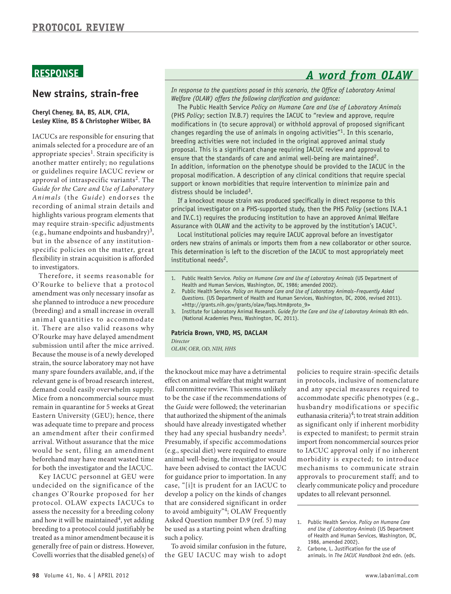# **RESPONSE** *A word from OLAW*

### **new strains, strain-free**

#### **Cheryl Cheney, BA, BS, ALM, CpIA, Lesley Kline, BS & Christopher Wilber, BA**

appropriate species<sup>1</sup>. Strain specificity is IACUCs are responsible for ensuring that animals selected for a procedure are of an another matter entirely; no regulations or guidelines require IACUC review or approval of intraspecific variants<sup>2</sup>. The *Guide for the Care and Use of Laboratory*  Animals (the *Guide*) endorses the recording of animal strain details and highlights various program elements that may require strain-specific adjustments (e.g., humane endpoints and husbandry)<sup>3</sup>, but in the absence of any institutionspecific policies on the matter, great flexibility in strain acquisition is afforded to investigators.

 amendment was only necessary insofar as she planned to introduce a new procedure (breeding) and a small increase in overall animal quantities to accommodate relevant gene is of broad research interest, was adequate time to prepare and process an amendment after their confirmed Therefore, it seems reasonable for O'Rourke to believe that a protocol it. There are also valid reasons why O'Rourke may have delayed amendment submission until after the mice arrived. Because the mouse is of a newly developed strain, the source laboratory may not have many spare founders available, and, if the demand could easily overwhelm supply. Mice from a noncommercial source must remain in quarantine for 5 weeks at Great Eastern University (GEU); hence, there arrival. Without assurance that the mice would be sent, filing an amendment beforehand may have meant wasted time for both the investigator and the IACUC.

 assess the necessity for a breeding colony and how it will be maintained<sup>4</sup>, yet adding breeding to a protocol could justifiably be Key IACUC personnel at GEU were undecided on the significance of the changes O'Rourke proposed for her protocol. OLAW expects IACUCs to treated as a minor amendment because it is generally free of pain or distress. However, Covelli worries that the disabled gene(s) of

In response to the questions posed in this scenario, the Office of Laboratory Animal *Welfare (OLAW) offers the following clarification and guidance:* 

The Public Health Service *Policy on Humane Care and Use of Laboratory Animals*  (PHS *Policy*; section IV.B.7) requires the IACUC to "review and approve, require modifications in (to secure approval) or withhold approval of proposed significant changes regarding the use of animals in ongoing activities"<sup>1</sup>. In this scenario, breeding activities were not included in the original approved animal study proposal. This is a significant change requiring IACUC review and approval to ensure that the standards of care and animal well-being are maintained<sup>2</sup>. In addition, information on the phenotype should be provided to the IACUC in the proposal modification. A description of any clinical conditions that require special support or known morbidities that require intervention to minimize pain and distress should be included<sup>3</sup>.

If a knockout mouse strain was produced specifically in direct response to this principal investigator on a PHS-supported study, then the PHS *Policy* (sections IV.A.1 and IV.C.1) requires the producing institution to have an approved Animal Welfare Assurance with OLAW and the activity to be approved by the institution's IACUC<sup>1</sup>.

Local institutional policies may require IACUC approval before an investigator orders new strains of animals or imports them from a new collaborator or other source. This determination is left to the discretion of the IACUC to most appropriately meet institutional needs<sup>2</sup>.

- 1. Public Health Service. *Policy on Humane Care and Use of Laboratory Animals* (US Department of Health and Human Services, Washington, DC, 1986; amended 2002).
- 2. Public Health Service. Policy on Humane Care and Use of Laboratory Animals-Frequently Asked *Questions.* (US Department of Health and Human Services, Washington, DC, 2006, revised 2011). [<http://grants.nih.gov/grants/olaw/faqs.htm#proto\\_9>](http://grants.nih.gov/grants/olaw/faqs.htm)
- 3. Institute for Laboratory Animal Research. *Guide for the Care and Use of Laboratory Animals* 8th edn. (National Academies Press, Washington, DC, 2011).

#### **patricia Brown, VMD, MS, DACLAM**

*Director* 

*OLAW, OER, OD, NIH, HHS* 

 full committee review. This seems unlikely and any special measures required to the *Guide* were followed; the veterinarian husbandry modifications or specific that authorized the shipment of the animals euthanasia criteria) $4$ ; to treat strain addition (e.g., special diet) were required to ensure to IACUC approval only if no inherent animal well-being, the investigator would morbidity is expected; to introduce the Guide were followed; the veterinarian that authorized the shipment of the animals develop a policy on the kinds of changes updates to all relevant personnel. the knockout mice may have a detrimental policies to require strain-specific details effect on animal welfare that might warrant in protocols, inclusive of nomenclature to be the case if the recommendations of accommodate specific phenotypes (e.g., should have already investigated whether as significant only if inherent morbidity they had any special husbandry needs<sup>3</sup>. is expected to manifest; to permit strain Presumably, if specific accommodations import from noncommercial sources prior have been advised to contact the IACUC mechanisms to communicate strain for guidance prior to importation. In any approvals to procurement staff; and to case, "[i]t is prudent for an IACUC to clearly communicate policy and procedure that are considered significant in order to avoid ambiguity"4; OLAW Frequently Asked Question number D.9 (ref. 5) may 1. Public Health Service. *Policy on Humane Care* be used as a starting point when drafting *and Use of Laboratory Animals* (US Department be used as a starting point when drafting *and Use of Laboratory Animals* (US Department

of Health and Human Services, Washing<br>To avoid similar confusion in the future, 1986, amended 2002).<br>2. Carbone, L. Justification for the use of the GEU IACUC may wish to adopt animals. in *The IACUC Handbook* 2nd edn. (eds.